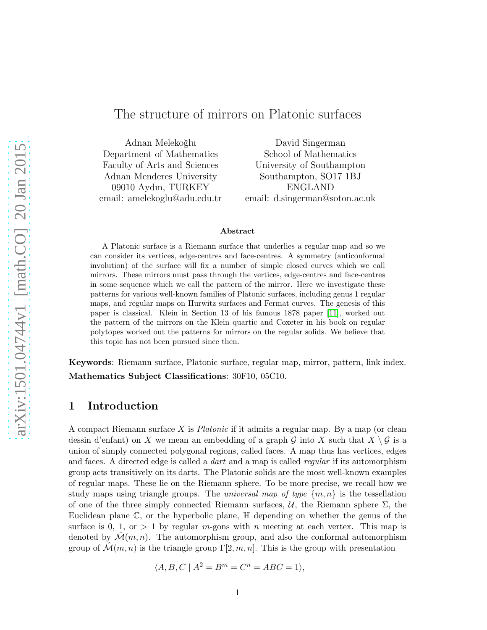# The structure of mirrors on Platonic surfaces

Adnan Melekoğlu Department of Mathematics Faculty of Arts and Sciences Adnan Menderes University 09010 Aydın, TURKEY email: amelekoglu@adu.edu.tr

David Singerman School of Mathematics University of Southampton Southampton, SO17 1BJ ENGLAND email: d.singerman@soton.ac.uk

### Abstract

A Platonic surface is a Riemann surface that underlies a regular map and so we can consider its vertices, edge-centres and face-centres. A symmetry (anticonformal involution) of the surface will fix a number of simple closed curves which we call mirrors. These mirrors must pass through the vertices, edge-centres and face-centres in some sequence which we call the pattern of the mirror. Here we investigate these patterns for various well-known families of Platonic surfaces, including genus 1 regular maps, and regular maps on Hurwitz surfaces and Fermat curves. The genesis of this paper is classical. Klein in Section 13 of his famous 1878 paper [\[11\]](#page-18-0), worked out the pattern of the mirrors on the Klein quartic and Coxeter in his book on regular polytopes worked out the patterns for mirrors on the regular solids. We believe that this topic has not been pursued since then.

Keywords: Riemann surface, Platonic surface, regular map, mirror, pattern, link index. Mathematics Subject Classifications: 30F10, 05C10.

# 1 Introduction

A compact Riemann surface X is *Platonic* if it admits a regular map. By a map (or clean dessin d'enfant) on X we mean an embedding of a graph G into X such that  $X \setminus \mathcal{G}$  is a union of simply connected polygonal regions, called faces. A map thus has vertices, edges and faces. A directed edge is called a *dart* and a map is called *regular* if its automorphism group acts transitively on its darts. The Platonic solids are the most well-known examples of regular maps. These lie on the Riemann sphere. To be more precise, we recall how we study maps using triangle groups. The *universal map of type*  $\{m, n\}$  is the tessellation of one of the three simply connected Riemann surfaces,  $U$ , the Riemann sphere  $\Sigma$ , the Euclidean plane  $\mathbb{C}$ , or the hyperbolic plane,  $\mathbb{H}$  depending on whether the genus of the surface is 0, 1, or  $> 1$  by regular m-gons with n meeting at each vertex. This map is denoted by  $\mathcal{M}(m, n)$ . The automorphism group, and also the conformal automorphism group of  $\mathcal{M}(m, n)$  is the triangle group  $\Gamma[2, m, n]$ . This is the group with presentation

$$
\langle A, B, C \mid A^2 = B^m = C^n = ABC = 1 \rangle,
$$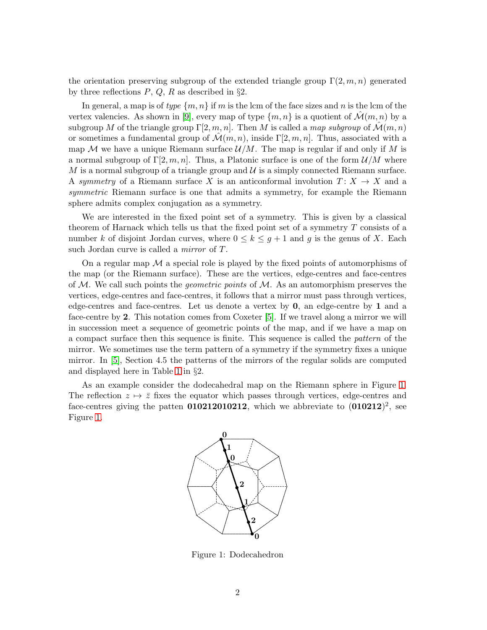the orientation preserving subgroup of the extended triangle group  $\Gamma(2, m, n)$  generated by three reflections  $P$ ,  $Q$ ,  $R$  as described in §2.

In general, a map is of *type*  $\{m, n\}$  if m is the lcm of the face sizes and n is the lcm of the vertex valencies. As shown in [\[9\]](#page-18-1), every map of type  $\{m, n\}$  is a quotient of  $\mathcal{M}(m, n)$  by a subgroup M of the triangle group  $\Gamma[2, m, n]$ . Then M is called a *map subgroup* of  $\mathcal{M}(m, n)$ or sometimes a fundamental group of  $\mathcal{M}(m, n)$ , inside  $\Gamma[2, m, n]$ . Thus, associated with a map M we have a unique Riemann surface  $\mathcal{U}/M$ . The map is regular if and only if M is a normal subgroup of  $\Gamma[2, m, n]$ . Thus, a Platonic surface is one of the form  $\mathcal{U}/M$  where  $M$  is a normal subgroup of a triangle group and  $\mathcal U$  is a simply connected Riemann surface. A *symmetry* of a Riemann surface X is an anticonformal involution  $T: X \to X$  and a *symmetric* Riemann surface is one that admits a symmetry, for example the Riemann sphere admits complex conjugation as a symmetry.

We are interested in the fixed point set of a symmetry. This is given by a classical theorem of Harnack which tells us that the fixed point set of a symmetry  $T$  consists of a number k of disjoint Jordan curves, where  $0 \leq k \leq g+1$  and g is the genus of X. Each such Jordan curve is called a *mirror* of T.

On a regular map  $\mathcal M$  a special role is played by the fixed points of automorphisms of the map (or the Riemann surface). These are the vertices, edge-centres and face-centres of M. We call such points the *geometric points* of M. As an automorphism preserves the vertices, edge-centres and face-centres, it follows that a mirror must pass through vertices, edge-centres and face-centres. Let us denote a vertex by 0, an edge-centre by 1 and a face-centre by 2. This notation comes from Coxeter [\[5\]](#page-18-2). If we travel along a mirror we will in succession meet a sequence of geometric points of the map, and if we have a map on a compact surface then this sequence is finite. This sequence is called the *pattern* of the mirror. We sometimes use the term pattern of a symmetry if the symmetry fixes a unique mirror. In [\[5\]](#page-18-2), Section 4.5 the patterns of the mirrors of the regular solids are computed and displayed here in Table [1](#page-4-0) in §2.

As an example consider the dodecahedral map on the Riemann sphere in Figure [1.](#page-1-0) The reflection  $z \mapsto \overline{z}$  fixes the equator which passes through vertices, edge-centres and face-centres giving the patten  $010212010212$ , which we abbreviate to  $(010212)^2$ , see Figure [1.](#page-1-0)



<span id="page-1-0"></span>Figure 1: Dodecahedron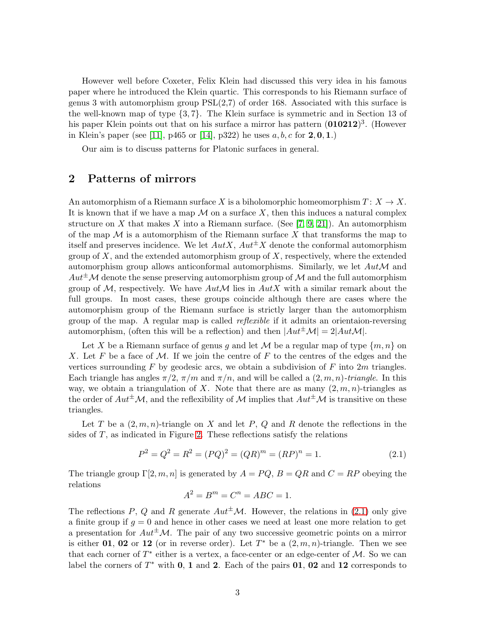However well before Coxeter, Felix Klein had discussed this very idea in his famous paper where he introduced the Klein quartic. This corresponds to his Riemann surface of genus 3 with automorphism group  $PSL(2,7)$  of order 168. Associated with this surface is the well-known map of type {3, 7}. The Klein surface is symmetric and in Section 13 of his paper Klein points out that on his surface a mirror has pattern  $(010212)^3$ . (However in Klein's paper (see [\[11\]](#page-18-0), p465 or [\[14\]](#page-18-3), p322) he uses  $a, b, c$  for  $2, 0, 1$ .)

Our aim is to discuss patterns for Platonic surfaces in general.

# 2 Patterns of mirrors

An automorphism of a Riemann surface X is a biholomorphic homeomorphism  $T: X \to X$ . It is known that if we have a map  $\mathcal M$  on a surface X, then this induces a natural complex structure on X that makes X into a Riemann surface. (See [\[7,](#page-18-4) [9,](#page-18-1) [21\]](#page-19-0)). An automorphism of the map  $\mathcal M$  is a automorphism of the Riemann surface X that transforms the map to itself and preserves incidence. We let  $Aut X$ ,  $Aut^{\pm} X$  denote the conformal automorphism group of  $X$ , and the extended automorphism group of  $X$ , respectively, where the extended automorphism group allows anticonformal automorphisms. Similarly, we let  $Aut\mathcal{M}$  and  $Aut^{\pm}M$  denote the sense preserving automorphism group of M and the full automorphism group of  $M$ , respectively. We have  $Aut \mathcal{M}$  lies in  $Aut X$  with a similar remark about the full groups. In most cases, these groups coincide although there are cases where the automorphism group of the Riemann surface is strictly larger than the automorphism group of the map. A regular map is called *reflexible* if it admits an orientaion-reversing automorphism, (often this will be a reflection) and then  $|Aut^{\pm}M| = 2|AutM|$ .

Let X be a Riemann surface of genus g and let M be a regular map of type  $\{m, n\}$  on X. Let F be a face of M. If we join the centre of F to the centres of the edges and the vertices surrounding  $F$  by geodesic arcs, we obtain a subdivision of  $F$  into  $2m$  triangles. Each triangle has angles  $\pi/2$ ,  $\pi/m$  and  $\pi/n$ , and will be called a  $(2, m, n)$ *-triangle*. In this way, we obtain a triangulation of X. Note that there are as many  $(2, m, n)$ -triangles as the order of  $Aut^{\pm}M$ , and the reflexibility of M implies that  $Aut^{\pm}M$  is transitive on these triangles.

Let T be a  $(2, m, n)$ -triangle on X and let P, Q and R denote the reflections in the sides of T, as indicated in Figure [2.](#page-3-0) These reflections satisfy the relations

<span id="page-2-0"></span>
$$
P2 = Q2 = R2 = (PQ)2 = (QR)m = (RP)n = 1.
$$
 (2.1)

The triangle group  $\Gamma[2, m, n]$  is generated by  $A = PQ$ ,  $B = QR$  and  $C = RP$  obeying the relations

$$
A^2 = B^m = C^n = ABC = 1.
$$

The reflections P, Q and R generate  $Aut^{\pm}M$ . However, the relations in [\(2.1\)](#page-2-0) only give a finite group if  $g = 0$  and hence in other cases we need at least one more relation to get a presentation for  $Aut^{\pm}M$ . The pair of any two successive geometric points on a mirror is either 01, 02 or 12 (or in reverse order). Let  $T^*$  be a  $(2, m, n)$ -triangle. Then we see that each corner of  $T^*$  either is a vertex, a face-center or an edge-center of M. So we can label the corners of  $T^*$  with 0, 1 and 2. Each of the pairs 01, 02 and 12 corresponds to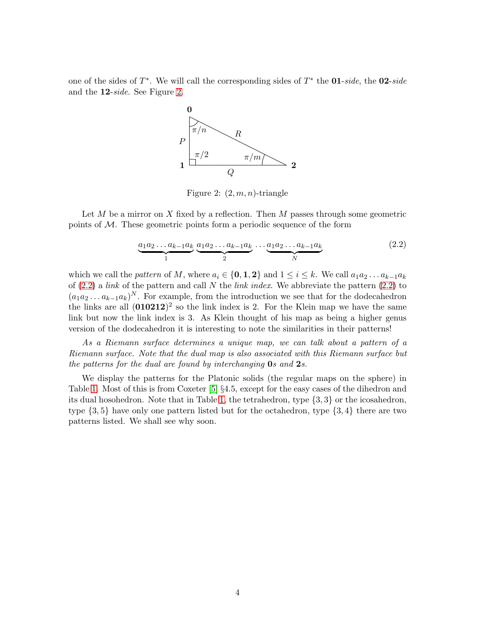one of the sides of T ∗ . We will call the corresponding sides of T ∗ the 01-*side*, the 02-*side* and the 12-*side*. See Figure [2.](#page-3-0)



<span id="page-3-0"></span>Figure 2:  $(2, m, n)$ -triangle

Let  $M$  be a mirror on  $X$  fixed by a reflection. Then  $M$  passes through some geometric points of  $M$ . These geometric points form a periodic sequence of the form

<span id="page-3-1"></span>
$$
\underbrace{a_1 a_2 \dots a_{k-1} a_k}_{1} \underbrace{a_1 a_2 \dots a_{k-1} a_k}_{2} \dots \underbrace{a_1 a_2 \dots a_{k-1} a_k}_{N}
$$
 (2.2)

which we call the *pattern* of M, where  $a_i \in \{0, 1, 2\}$  and  $1 \le i \le k$ . We call  $a_1 a_2 \ldots a_{k-1} a_k$ of [\(2.2\)](#page-3-1) a *link* of the pattern and call N the *link index*. We abbreviate the pattern [\(2.2\)](#page-3-1) to  $(a_1a_2 \ldots a_{k-1}a_k)^N$ . For example, from the introduction we see that for the dodecahedron the links are all  $(010212)^2$  so the link index is 2. For the Klein map we have the same link but now the link index is 3. As Klein thought of his map as being a higher genus version of the dodecahedron it is interesting to note the similarities in their patterns!

*As a Riemann surface determines a unique map, we can talk about a pattern of a Riemann surface. Note that the dual map is also associated with this Riemann surface but the patterns for the dual are found by interchanging* 0*s and* 2*s.*

We display the patterns for the Platonic solids (the regular maps on the sphere) in Table [1.](#page-4-0) Most of this is from Coxeter [\[5\]](#page-18-2) §4.5, except for the easy cases of the dihedron and its dual hosohedron. Note that in Table [1,](#page-4-0) the tetrahedron, type {3, 3} or the icosahedron, type  $\{3, 5\}$  have only one pattern listed but for the octahedron, type  $\{3, 4\}$  there are two patterns listed. We shall see why soon.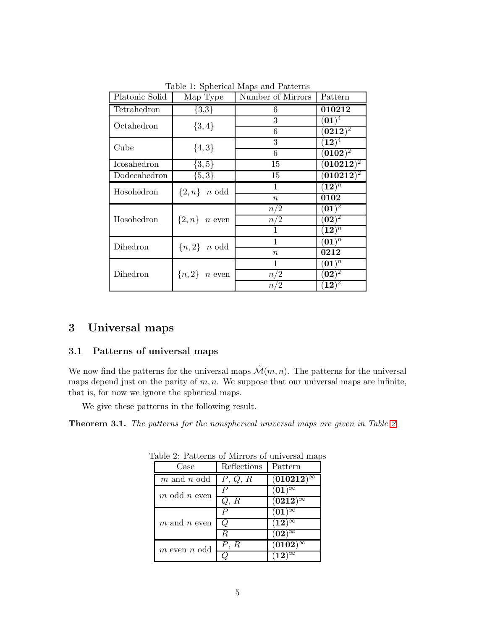| Platonic Solid | Map Type                | Number of Mirrors                                                                                                                                                                                                                                                                                  | Pattern                                                     |  |  |
|----------------|-------------------------|----------------------------------------------------------------------------------------------------------------------------------------------------------------------------------------------------------------------------------------------------------------------------------------------------|-------------------------------------------------------------|--|--|
| Tetrahedron    | $\{3,3\}$               | 6                                                                                                                                                                                                                                                                                                  | 010212                                                      |  |  |
| Octahedron     | $\{3,4\}$               | 3                                                                                                                                                                                                                                                                                                  |                                                             |  |  |
|                |                         | 6                                                                                                                                                                                                                                                                                                  |                                                             |  |  |
| Cube           | ${4,3}$                 | 3                                                                                                                                                                                                                                                                                                  |                                                             |  |  |
|                |                         |                                                                                                                                                                                                                                                                                                    |                                                             |  |  |
| Icosahedron    | $\{3,5\}$               | 15                                                                                                                                                                                                                                                                                                 | $\overline{({\bf 0}{\bf 1}{\bf 0}{\bf 2}{\bf 1}{\bf 2})^2}$ |  |  |
| Dodecahedron   | $\{5,3\}$               | 15                                                                                                                                                                                                                                                                                                 | $(\overline{\mathbf{010212}})^2$                            |  |  |
| Hosohedron     | $\{2,n\}$ <i>n</i> odd  | $\mathbf{1}$                                                                                                                                                                                                                                                                                       |                                                             |  |  |
|                |                         | $\boldsymbol{n}$                                                                                                                                                                                                                                                                                   | 0102                                                        |  |  |
| Hosohedron     |                         |                                                                                                                                                                                                                                                                                                    |                                                             |  |  |
|                | $\{2,n\}$ <i>n</i> even |                                                                                                                                                                                                                                                                                                    |                                                             |  |  |
|                |                         |                                                                                                                                                                                                                                                                                                    |                                                             |  |  |
| Dihedron       | ${n,2}$ <i>n</i> odd    | 1                                                                                                                                                                                                                                                                                                  |                                                             |  |  |
|                |                         | $\boldsymbol{n}$                                                                                                                                                                                                                                                                                   | 0212                                                        |  |  |
| Dihedron       |                         | 1                                                                                                                                                                                                                                                                                                  | $\overline{{(01)}^n}$                                       |  |  |
|                | ${n, 2}$ <i>n</i> even  | $\overline{(01)^4}$<br>$({\bf 0212})^2$<br>$(\overline{\bf 12})^4$<br>$({\bf 0102})^2$<br>6<br>$(\mathbf{12})^n$<br>$({\bf 01})^2$<br>$n/\overline{2}$<br>$({\bf 02})^2$<br>n/2<br>$(\mathbf{12})^n$<br>$(\overline{\mathbf{01})^n}$<br>$({\bf 02})^2$<br>n/2<br>$({\bf 12})^{\overline 2}$<br>n/2 |                                                             |  |  |
|                |                         |                                                                                                                                                                                                                                                                                                    |                                                             |  |  |

<span id="page-4-0"></span>Table 1: Spherical Maps and Patterns

# 3 Universal maps

# 3.1 Patterns of universal maps

We now find the patterns for the universal maps  $\mathcal{M}(m, n)$ . The patterns for the universal maps depend just on the parity of  $m, n$ . We suppose that our universal maps are infinite, that is, for now we ignore the spherical maps.

We give these patterns in the following result.

<span id="page-4-2"></span>Theorem 3.1. *The patterns for the nonspherical universal maps are given in Table [2.](#page-4-1)*

<span id="page-4-1"></span>

| Case             | Reflections  | Pattern           |
|------------------|--------------|-------------------|
| $m$ and $n$ odd  | P, Q, R      | $(010212)^\infty$ |
| $m$ odd $n$ even | $\mathcal P$ | $(01)^\infty$     |
|                  | Q, R         | $(0212)^\infty$   |
|                  | Р            | $(01)^\infty$     |
| $m$ and $n$ even | Ο            | $(12)^\infty$     |
|                  | R            | $(02)^\infty$     |
| $m$ even $n$ odd | P, R         | $(0102)^\infty$   |
|                  |              | $(12)^\infty$     |

Table 2: Patterns of Mirrors of universal maps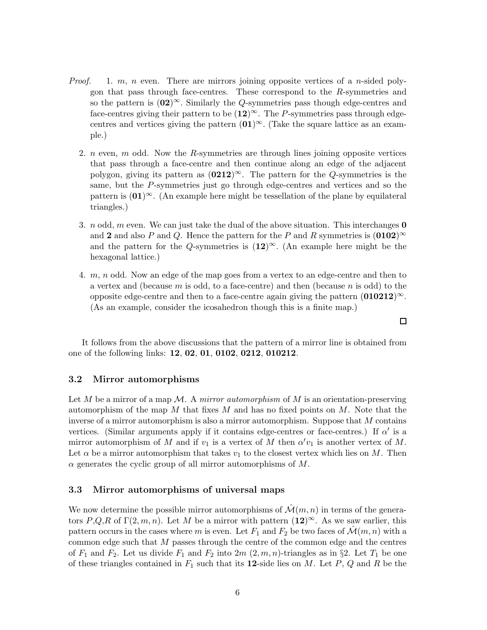- *Proof.* 1. m, n even. There are mirrors joining opposite vertices of a n-sided polygon that pass through face-centres. These correspond to the R-symmetries and so the pattern is  $(02)^\infty$ . Similarly the Q-symmetries pass though edge-centres and face-centres giving their pattern to be  $(12)^\infty$ . The P-symmetries pass through edgecentres and vertices giving the pattern  $(01)^\infty$ . (Take the square lattice as an example.)
	- 2. *n* even,  $m$  odd. Now the  $R$ -symmetries are through lines joining opposite vertices that pass through a face-centre and then continue along an edge of the adjacent polygon, giving its pattern as  $(0212)^\infty$ . The pattern for the Q-symmetries is the same, but the P-symmetries just go through edge-centres and vertices and so the pattern is  $(01)^\infty$ . (An example here might be tessellation of the plane by equilateral triangles.)
	- 3. *n* odd, *m* even. We can just take the dual of the above situation. This interchanges **0** and 2 and also P and Q. Hence the pattern for the P and R symmetries is  $(0102)^\infty$ and the pattern for the Q-symmetries is  $(12)^\infty$ . (An example here might be the hexagonal lattice.)
	- 4. m, n odd. Now an edge of the map goes from a vertex to an edge-centre and then to a vertex and (because  $m$  is odd, to a face-centre) and then (because  $n$  is odd) to the opposite edge-centre and then to a face-centre again giving the pattern  $(010212)^\infty$ . (As an example, consider the icosahedron though this is a finite map.)

 $\Box$ 

It follows from the above discussions that the pattern of a mirror line is obtained from one of the following links: 12, 02, 01, 0102, 0212, 010212.

## 3.2 Mirror automorphisms

Let M be a mirror of a map M. A *mirror automorphism* of M is an orientation-preserving automorphism of the map  $M$  that fixes  $M$  and has no fixed points on  $M$ . Note that the inverse of a mirror automorphism is also a mirror automorphism. Suppose that M contains vertices. (Similar arguments apply if it contains edge-centres or face-centres.) If  $\alpha'$  is a mirror automorphism of M and if  $v_1$  is a vertex of M then  $\alpha'v_1$  is another vertex of M. Let  $\alpha$  be a mirror automorphism that takes  $v_1$  to the closest vertex which lies on M. Then  $\alpha$  generates the cyclic group of all mirror automorphisms of M.

## 3.3 Mirror automorphisms of universal maps

We now determine the possible mirror automorphisms of  $\mathcal{M}(m, n)$  in terms of the generators P,Q,R of  $\Gamma(2, m, n)$ . Let M be a mirror with pattern  $(12)^{\infty}$ . As we saw earlier, this pattern occurs in the cases where m is even. Let  $F_1$  and  $F_2$  be two faces of  $\mathcal{M}(m, n)$  with a common edge such that M passes through the centre of the common edge and the centres of  $F_1$  and  $F_2$ . Let us divide  $F_1$  and  $F_2$  into  $2m$   $(2, m, n)$ -triangles as in §2. Let  $T_1$  be one of these triangles contained in  $F_1$  such that its 12-side lies on M. Let P, Q and R be the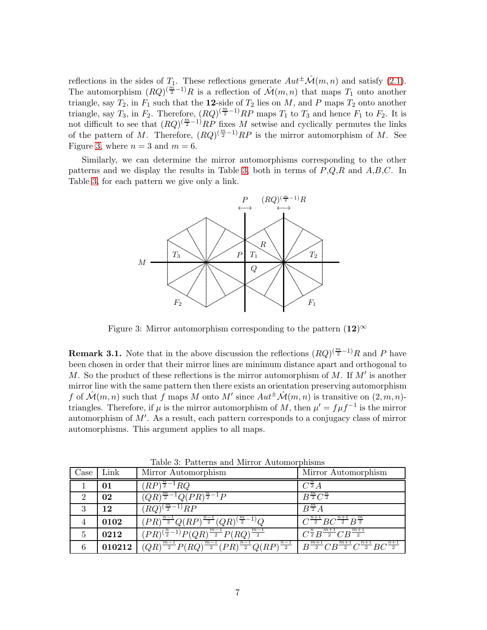reflections in the sides of  $T_1$ . These reflections generate  $Aut^{\pm}\mathcal{M}(m,n)$  and satisfy [\(2.1\)](#page-2-0). The automorphism  $(RQ)^{(\frac{m}{2}-1)}R$  is a reflection of  $\mathcal{M}(m,n)$  that maps  $T_1$  onto another triangle, say  $T_2$ , in  $F_1$  such that the 12-side of  $T_2$  lies on M, and P maps  $T_2$  onto another triangle, say  $T_3$ , in  $F_2$ . Therefore,  $(RQ)^{(\frac{m}{2}-1)}RP$  maps  $T_1$  to  $T_3$  and hence  $F_1$  to  $F_2$ . It is not difficult to see that  $(RQ)^{\left(\frac{m}{2}-1\right)}RP$  fixes M setwise and cyclically permutes the links of the pattern of M. Therefore,  $(RQ)^{(\frac{m}{2}-1)}RP$  is the mirror automorphism of M. See Figure [3,](#page-6-0) where  $n = 3$  and  $m = 6$ .

Similarly, we can determine the mirror automorphisms corresponding to the other patterns and we display the results in Table [3,](#page-6-1) both in terms of  $P,Q,R$  and  $A,B,C$ . In Table [3,](#page-6-1) for each pattern we give only a link.



<span id="page-6-0"></span>Figure 3: Mirror automorphism corresponding to the pattern  $(12)^\infty$ 

**Remark 3.1.** Note that in the above discussion the reflections  $(RQ)^{(\frac{m}{2}-1)}R$  and P have been chosen in order that their mirror lines are minimum distance apart and orthogonal to M. So the product of these reflections is the mirror automorphism of M. If  $M'$  is another mirror line with the same pattern then there exists an orientation preserving automorphism f of  $\mathcal{M}(m,n)$  such that f maps M onto M' since  $Aut^{\pm}\mathcal{M}(m,n)$  is transitive on  $(2,m,n)$ triangles. Therefore, if  $\mu$  is the mirror automorphism of M, then  $\mu' = f \mu f^{-1}$  is the mirror automorphism of M′ . As a result, each pattern corresponds to a conjugacy class of mirror automorphisms. This argument applies to all maps.

| Case           | Link   | Mirror Automorphism                                                                                                                                                                     | Mirror Automorphism                                  |
|----------------|--------|-----------------------------------------------------------------------------------------------------------------------------------------------------------------------------------------|------------------------------------------------------|
|                | 01     | $(RP)^{\frac{n}{2}-1}RQ$                                                                                                                                                                | $C^{\frac{n}{2}}A$                                   |
| $\overline{2}$ | 02     | $\overline{(QR)^{\frac{m}{2}-1}Q(PR)^{\frac{n}{2}-1}P}$                                                                                                                                 | $B^{\frac{m}{2}}C^{\frac{n}{2}}$                     |
| 3              | 12     | $(RQ)^{\left(\frac{m}{2}-1\right)}RP$                                                                                                                                                   | $B^{\frac{m}{2}}A$                                   |
| 4              | 0102   | $\sqrt{(PR)^{\frac{n-1}{2}}Q(RP)^{\frac{n-1}{2}}}(QR)^{(\frac{m}{2}-1)}Q$                                                                                                               | $C^{\frac{n+1}{2}}BC^{\frac{n+1}{2}}B^{\frac{m}{2}}$ |
| 5              | 0212   | $(PR)^{(\frac{n}{2}-1)}P(QR)^{\frac{m-1}{2}}P(RQ)^{\frac{m-1}{2}}$                                                                                                                      | $C^{\frac{n}{2}}B^{\frac{m+1}{2}}CB^{\frac{m+1}{2}}$ |
| 6              | 010212 | $\overline{(QR)^{\frac{m-1}{2}}P(RQ)^{\frac{m-1}{2}}(PR)^{\frac{n-1}{2}}Q(RP)^{\frac{n-1}{2}}}\; \left[\;B^{\frac{m+1}{2}}CB^{\frac{m+1}{2}}C^{\frac{n+1}{2}}BC^{\frac{n+1}{2}}\right]$ |                                                      |

<span id="page-6-1"></span>Table 3: Patterns and Mirror Automorphisms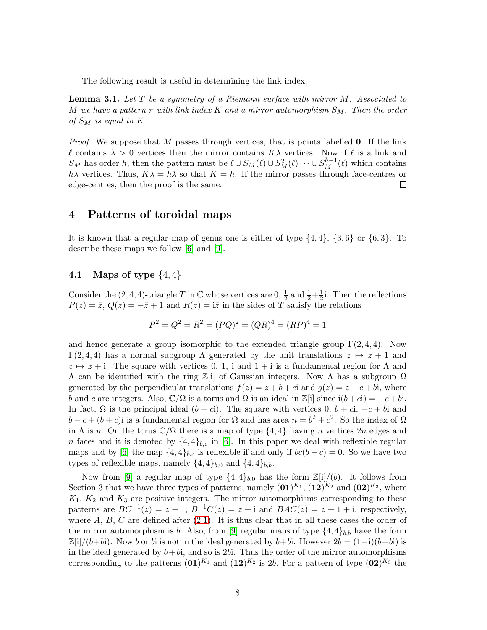The following result is useful in determining the link index.

<span id="page-7-0"></span>Lemma 3.1. *Let* T *be a symmetry of a Riemann surface with mirror* M*. Associated to* M we have a pattern  $\pi$  with link index K and a mirror automorphism  $S_M$ . Then the order *of*  $S_M$  *is equal to*  $K$ *.* 

*Proof.* We suppose that M passes through vertices, that is points labelled **0**. If the link  $\ell$  contains  $\lambda > 0$  vertices then the mirror contains  $K\lambda$  vertices. Now if  $\ell$  is a link and  $S_M$  has order h, then the pattern must be  $\ell \cup S_M(\ell) \cup S_M^2(\ell) \cdots \cup S_M^{h-1}(\ell)$  which contains hλ vertices. Thus,  $K\lambda = h\lambda$  so that  $K = h$ . If the mirror passes through face-centres or edge-centres, then the proof is the same.  $\Box$ 

## 4 Patterns of toroidal maps

It is known that a regular map of genus one is either of type  $\{4, 4\}$ ,  $\{3, 6\}$  or  $\{6, 3\}$ . To describe these maps we follow [\[6\]](#page-18-5) and [\[9\]](#page-18-1).

## **4.1** Maps of type  $\{4, 4\}$

Consider the  $(2, 4, 4)$ -triangle T in C whose vertices are  $0, \frac{1}{2}$  and  $\frac{1}{2} + \frac{1}{2}$ . Then the reflections  $P(z) = \overline{z}$ ,  $Q(z) = -\overline{z} + 1$  and  $R(z) = i\overline{z}$  in the sides of T satisfy the relations

$$
P^2 = Q^2 = R^2 = (PQ)^2 = (QR)^4 = (RP)^4 = 1
$$

and hence generate a group isomorphic to the extended triangle group  $\Gamma(2, 4, 4)$ . Now Γ(2, 4, 4) has a normal subgroup Λ generated by the unit translations  $z \mapsto z + 1$  and  $z \mapsto z + i$ . The square with vertices 0, 1, i and  $1 + i$  is a fundamental region for  $\Lambda$  and  $Λ$  can be identified with the ring  $\mathbb{Z}[i]$  of Gaussian integers. Now Λ has a subgroup  $Ω$ generated by the perpendicular translations  $f(z) = z + b + c$  and  $g(z) = z - c + bi$ , where b and c are integers. Also,  $\mathbb{C}/\Omega$  is a torus and  $\Omega$  is an ideal in  $\mathbb{Z}[i]$  since  $i(b+ci) = -c + bi$ . In fact,  $\Omega$  is the principal ideal  $(b + c)$ . The square with vertices  $0, b + c$ ,  $-c + bi$  and  $b - c + (b + c)$ i is a fundamental region for  $\Omega$  and has area  $n = b^2 + c^2$ . So the index of  $\Omega$ in  $\Lambda$  is n. On the torus  $\mathbb{C}/\Omega$  there is a map of type  $\{4,4\}$  having n vertices  $2n$  edges and n faces and it is denoted by  $\{4,4\}_{b,c}$  in [\[6\]](#page-18-5). In this paper we deal with reflexible regular maps and by [\[6\]](#page-18-5) the map  $\{4,4\}_{b,c}$  is reflexible if and only if  $bc(b-c) = 0$ . So we have two types of reflexible maps, namely  $\{4,4\}_{b,0}$  and  $\{4,4\}_{b,b}$ .

Now from [\[9\]](#page-18-1) a regular map of type  $\{4,4\}_{b,0}$  has the form  $\mathbb{Z}[i]/(b)$ . It follows from Section 3 that we have three types of patterns, namely  $(01)^{K_1}$ ,  $(12)^{K_2}$  and  $(02)^{K_3}$ , where  $K_1, K_2$  and  $K_3$  are positive integers. The mirror automorphisms corresponding to these patterns are  $BC^{-1}(z) = z + 1$ ,  $B^{-1}C(z) = z + i$  and  $BAC(z) = z + 1 + i$ , respectively, where  $A, B, C$  are defined after  $(2.1)$ . It is thus clear that in all these cases the order of the mirror automorphism is b. Also, from [\[9\]](#page-18-1) regular maps of type  $\{4,4\}_{b,b}$  have the form  $\mathbb{Z}[i]/(b+bi)$ . Now b or bi is not in the ideal generated by b+bi. However  $2b = (1-i)(b+bi)$  is in the ideal generated by  $b+bi$ , and so is 2bi. Thus the order of the mirror automorphisms corresponding to the patterns  $(01)^{K_1}$  and  $(12)^{K_2}$  is 2b. For a pattern of type  $(02)^{K_3}$  the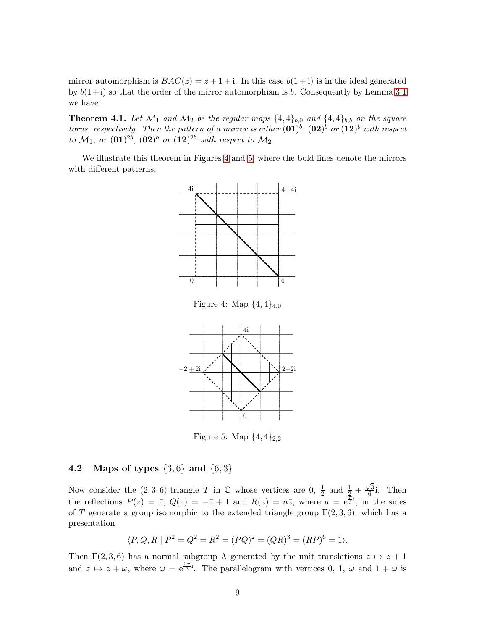mirror automorphism is  $BAC(z) = z + 1 + i$ . In this case  $b(1+i)$  is in the ideal generated by  $b(1+i)$  so that the order of the mirror automorphism is b. Consequently by Lemma 3.1 we have

**Theorem 4.1.** Let  $\mathcal{M}_1$  and  $\mathcal{M}_2$  be the regular maps  $\{4,4\}_{b,0}$  and  $\{4,4\}_{b,b}$  on the square torus, respectively. Then the pattern of a mirror is either  $(01)^b$ ,  $(02)^b$  or  $(12)^b$  with respect<br>to  $\mathcal{M}_1$ , or  $(01)^{2b}$ ,  $(02)^b$  or  $(12)^{2b}$  with respect to  $\mathcal{M}_2$ .

We illustrate this theorem in Figures 4 and 5, where the bold lines denote the mirrors with different patterns.



<span id="page-8-0"></span>

<span id="page-8-1"></span>Figure 5: Map  $\{4,4\}_{2,2}$ 

#### 4.2 Maps of types  $\{3,6\}$  and  $\{6,3\}$

Now consider the  $(2,3,6)$ -triangle T in C whose vertices are 0,  $\frac{1}{2}$  and  $\frac{1}{2} + \frac{\sqrt{3}}{6}$ . Then the reflections  $P(z) = \overline{z}$ ,  $Q(z) = -\overline{z} + 1$  and  $R(z) = a\overline{z}$ , where  $a = e^{\frac{\overline{x}}{3}i}$ , in the sides of T generate a group isomorphic to the extended triangle group  $\Gamma(2,3,6)$ , which has a presentation

$$
\langle P, Q, R \mid P^2 = Q^2 = R^2 = (PQ)^2 = (QR)^3 = (RP)^6 = 1 \rangle
$$

Then  $\Gamma(2,3,6)$  has a normal subgroup  $\Lambda$  generated by the unit translations  $z \mapsto z+1$ and  $z \mapsto z + \omega$ , where  $\omega = e^{\frac{2\pi}{3}i}$ . The parallelogram with vertices 0, 1,  $\omega$  and  $1 + \omega$  is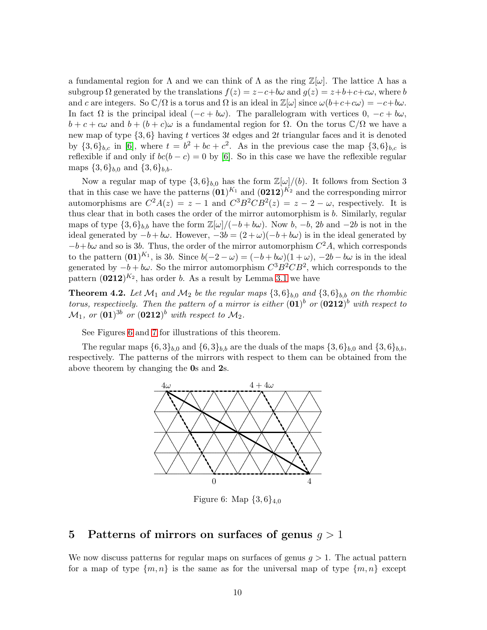a fundamental region for  $\Lambda$  and we can think of  $\Lambda$  as the ring  $\mathbb{Z}[\omega]$ . The lattice  $\Lambda$  has a subgroup  $\Omega$  generated by the translations  $f(z) = z - c + b\omega$  and  $g(z) = z + b + c + c\omega$ , where b and c are integers. So  $\mathbb{C}/\Omega$  is a torus and  $\Omega$  is an ideal in  $\mathbb{Z}[\omega]$  since  $\omega(b+c+c\omega) = -c+b\omega$ . In fact  $\Omega$  is the principal ideal  $(-c + b\omega)$ . The parallelogram with vertices  $0, -c + b\omega$ ,  $b + c + c\omega$  and  $b + (b + c)\omega$  is a fundamental region for  $\Omega$ . On the torus  $\mathbb{C}/\Omega$  we have a new map of type  $\{3,6\}$  having t vertices 3t edges and 2t triangular faces and it is denoted by  $\{3,6\}_{b,c}$  in [\[6\]](#page-18-5), where  $t = b^2 + bc + c^2$ . As in the previous case the map  $\{3,6\}_{b,c}$  is reflexible if and only if  $bc(b - c) = 0$  by [\[6\]](#page-18-5). So in this case we have the reflexible regular maps  $\{3,6\}_{b,0}$  and  $\{3,6\}_{b,b}$ .

Now a regular map of type  $\{3, 6\}_{b,0}$  has the form  $\mathbb{Z}[\omega]/(b)$ . It follows from Section 3 that in this case we have the patterns  $(01)^{K_1}$  and  $(0212)^{K_2}$  and the corresponding mirror automorphisms are  $C^2A(z) = z - 1$  and  $C^3B^2CB^2(z) = z - 2 - \omega$ , respectively. It is thus clear that in both cases the order of the mirror automorphism is b. Similarly, regular maps of type  $\{3, 6\}_{b,b}$  have the form  $\mathbb{Z}[\omega]/(-b + b\omega)$ . Now b,  $-b$ , 2b and  $-2b$  is not in the ideal generated by  $-b + b\omega$ . However,  $-3b = (2 + \omega)(-b + b\omega)$  is in the ideal generated by  $-b+b\omega$  and so is 3b. Thus, the order of the mirror automorphism  $C^2A$ , which corresponds to the pattern  $(01)^{K_1}$ , is 3*b*. Since  $b(-2-\omega) = (-b+b\omega)(1+\omega)$ ,  $-2b-b\omega$  is in the ideal generated by  $-b + b\omega$ . So the mirror automorphism  $C^3B^2CB^2$ , which corresponds to the pattern  $(0212)^{K_2}$ , has order b. As a result by Lemma [3.1](#page-7-0) we have

**Theorem 4.2.** Let  $\mathcal{M}_1$  and  $\mathcal{M}_2$  be the regular maps  $\{3, 6\}_{b,0}$  and  $\{3, 6\}_{b,b}$  on the rhombic *torus, respectively. Then the pattern of a mirror is either*  $(01)^b$  *or*  $(0212)^b$  *with respect to*  $\mathcal{M}_1$ , or  $(\mathbf{01})^{3b}$  or  $(\mathbf{0212})^b$  with respect to  $\mathcal{M}_2$ .

See Figures [6](#page-9-0) and [7](#page-10-0) for illustrations of this theorem.

The regular maps  $\{6,3\}_{b,0}$  and  $\{6,3\}_{b,b}$  are the duals of the maps  $\{3,6\}_{b,0}$  and  $\{3,6\}_{b,b}$ , respectively. The patterns of the mirrors with respect to them can be obtained from the above theorem by changing the 0s and 2s.



<span id="page-9-0"></span>Figure 6: Map  $\{3,6\}_{4,0}$ 

# 5 Patterns of mirrors on surfaces of genus  $g > 1$

We now discuss patterns for regular maps on surfaces of genus  $q > 1$ . The actual pattern for a map of type  $\{m, n\}$  is the same as for the universal map of type  $\{m, n\}$  except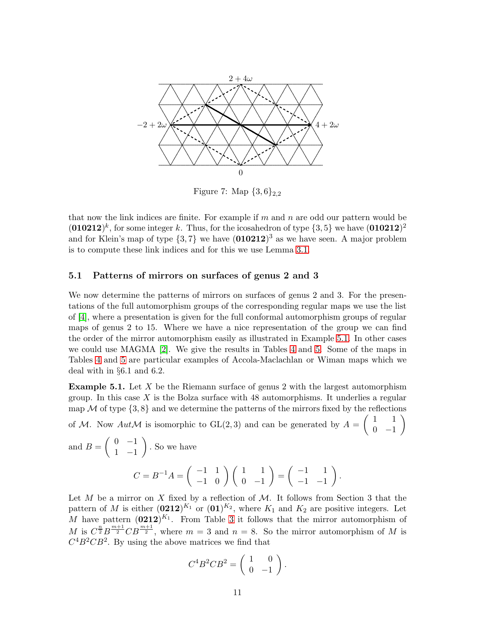

<span id="page-10-0"></span>Figure 7: Map  $\{3,6\}_{2,2}$ 

that now the link indices are finite. For example if  $m$  and  $n$  are odd our pattern would be  $(010212)^k$ , for some integer k. Thus, for the icosahedron of type  $\{3, 5\}$  we have  $(010212)^2$ and for Klein's map of type  $\{3, 7\}$  we have  $(010212)^3$  as we have seen. A major problem is to compute these link indices and for this we use Lemma [3.1.](#page-7-0)

## 5.1 Patterns of mirrors on surfaces of genus 2 and 3

We now determine the patterns of mirrors on surfaces of genus 2 and 3. For the presentations of the full automorphism groups of the corresponding regular maps we use the list of [\[4\]](#page-18-6), where a presentation is given for the full conformal automorphism groups of regular maps of genus 2 to 15. Where we have a nice representation of the group we can find the order of the mirror automorphism easily as illustrated in Example [5.1.](#page-10-1) In other cases we could use MAGMA [\[2\]](#page-17-0). We give the results in Tables [4](#page-11-0) and [5.](#page-12-0) Some of the maps in Tables [4](#page-11-0) and [5](#page-12-0) are particular examples of Accola-Maclachlan or Wiman maps which we deal with in §6.1 and 6.2.

<span id="page-10-1"></span>**Example 5.1.** Let  $X$  be the Riemann surface of genus 2 with the largest automorphism group. In this case  $X$  is the Bolza surface with 48 automorphisms. It underlies a regular map  $\mathcal M$  of type  $\{3, 8\}$  and we determine the patterns of the mirrors fixed by the reflections

of M. Now  $Aut \mathcal{M}$  is isomorphic to  $GL(2,3)$  and can be generated by  $A =$  $(1 \ 1)$  $0 -1$  $\setminus$ 

and 
$$
B = \begin{pmatrix} 0 & -1 \\ 1 & -1 \end{pmatrix}
$$
. So we have  
\n
$$
C = B^{-1}A = \begin{pmatrix} -1 & 1 \\ -1 & 0 \end{pmatrix} \begin{pmatrix} 1 & 1 \\ 0 & -1 \end{pmatrix} = \begin{pmatrix} -1 & 1 \\ -1 & -1 \end{pmatrix}.
$$

Let M be a mirror on X fixed by a reflection of  $M$ . It follows from Section 3 that the pattern of M is either  $(0212)^{K_1}$  or  $(01)^{K_2}$ , where  $K_1$  and  $K_2$  are positive integers. Let M have pattern  $(0212)^{K_1}$ . From Table [3](#page-6-1) it follows that the mirror automorphism of M is  $C^{\frac{n}{2}}B^{\frac{m+1}{2}}CB^{\frac{m+1}{2}}$ , where  $m=3$  and  $n=8$ . So the mirror automorphism of M is  $C<sup>4</sup>B<sup>2</sup>CB<sup>2</sup>$ . By using the above matrices we find that

$$
C^4B^2CB^2 = \begin{pmatrix} 1 & 0 \\ 0 & -1 \end{pmatrix}.
$$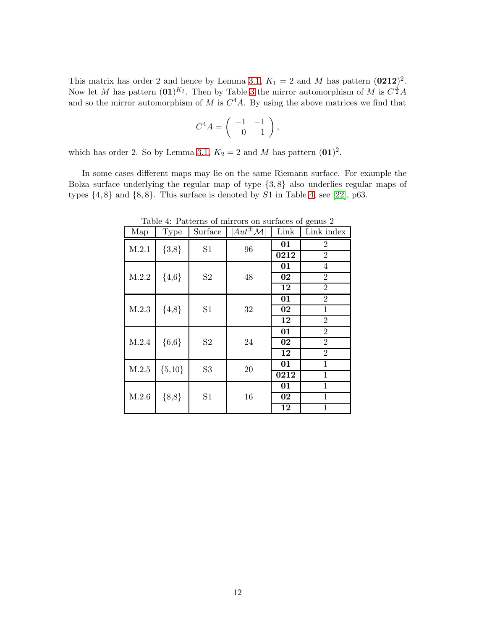This matrix has order 2 and hence by Lemma [3.1,](#page-7-0)  $K_1 = 2$  and M has pattern  $(0212)^2$ . Now let M has pattern  $(01)^{K_2}$ . Then by Table [3](#page-6-1) the mirror automorphism of M is  $C^{\frac{n}{2}}A$ and so the mirror automorphism of M is  $C<sup>4</sup>A$ . By using the above matrices we find that

$$
C^4 A = \left( \begin{array}{cc} -1 & -1 \\ 0 & 1 \end{array} \right),
$$

which has order 2. So by Lemma [3.1,](#page-7-0)  $K_2 = 2$  and M has pattern  $(01)^2$ .

In some cases different maps may lie on the same Riemann surface. For example the Bolza surface underlying the regular map of type {3, 8} also underlies regular maps of types  $\{4, 8\}$  and  $\{8, 8\}$ . This surface is denoted by S1 in Table [4,](#page-11-0) see [\[22\]](#page-19-1), p63.

| Map   | <b>Type</b>                     | Surface              | $Aut^{\pm}\mathcal{M}$ | Link            | $\check{ }$<br>Link index |
|-------|---------------------------------|----------------------|------------------------|-----------------|---------------------------|
| M.2.1 | ${3,8}$                         | S <sub>1</sub>       | 96                     | $\overline{01}$ | $\overline{2}$            |
|       |                                 |                      |                        | 0212            | $\overline{2}$            |
|       |                                 | S <sub>2</sub><br>48 |                        | 01              | $\overline{4}$            |
| M.2.2 | ${4,6}$                         |                      |                        | 02              | $\overline{2}$            |
|       |                                 |                      |                        | $\overline{12}$ | $\overline{2}$            |
|       |                                 | S1                   | 32                     | 01              | $\overline{2}$            |
| M.2.3 | ${4,8}$                         |                      |                        | 02              | 1                         |
|       |                                 |                      |                        | 12              | $\overline{2}$            |
| M.2.4 | ${6,6}$<br>S <sub>2</sub><br>24 |                      |                        | 01              | $\overline{2}$            |
|       |                                 |                      |                        | 02              | $\overline{2}$            |
|       |                                 |                      | 12                     | $\overline{2}$  |                           |
| M.2.5 | $\{5,10\}$                      | S <sub>3</sub>       | 20                     | 01              | $\mathbf{1}$              |
|       |                                 |                      |                        | 0212            | 1                         |
| M.2.6 | ${8,8}$                         | S1                   | 16                     | 01              | 1                         |
|       |                                 |                      |                        | 02              | $\mathbf{1}$              |
|       |                                 |                      |                        | 12              | 1                         |

<span id="page-11-0"></span>Table 4: Patterns of mirrors on surfaces of genus 2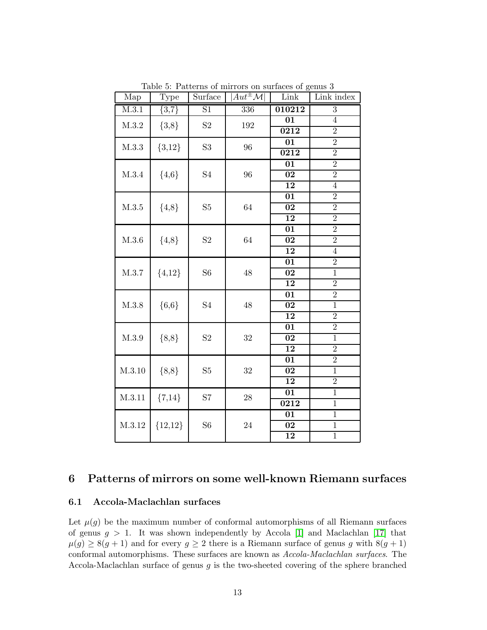| Map               | Type       | Surface        | $Aut^{\pm}\mathcal{M}$ | Link                  | Link index                       |
|-------------------|------------|----------------|------------------------|-----------------------|----------------------------------|
| M.3.1             | ${3,7}$    | S1             | 336                    | 010212                | $\overline{3}$                   |
| M.3.2             | ${3,8}$    | S <sub>2</sub> | $192\,$                | 01                    | $\overline{4}$                   |
|                   |            |                |                        | 0212                  | $\overline{2}$                   |
| M.3.3             | ${3,12}$   | $\rm S3$       | 96                     | $\overline{01}$       | $\overline{2}$                   |
|                   |            |                |                        | 0212                  | $\overline{2}$                   |
|                   |            | S <sub>4</sub> | 96                     | $\overline{01}$       | $\overline{2}$                   |
| M.3.4             | ${4,6}$    |                |                        | $\overline{02}$       | $\overline{2}$                   |
|                   |            |                |                        | 12                    | $\overline{4}$                   |
|                   |            |                |                        | 01                    | $\overline{2}$                   |
| $\mathbf{M}.3.5$  | ${4,8}$    | S5             | 64                     | $\overline{02}$       | $\overline{2}$                   |
|                   |            |                |                        | 12                    | $\overline{2}$                   |
|                   |            |                | 64                     | 01                    | $\overline{2}$                   |
| M.3.6             | ${4,8}$    | S <sub>2</sub> |                        | $\overline{02}$       | $\overline{2}$                   |
|                   |            |                |                        | $\overline{1}2$       | $\overline{4}$                   |
|                   |            | S <sub>6</sub> | 48                     | 01                    | $\overline{2}$                   |
| ${4,12}$<br>M.3.7 |            |                |                        | $\overline{02}$       | $\overline{1}$                   |
|                   |            |                |                        | 12                    | $\overline{2}$                   |
|                   |            |                |                        | 01                    | $\overline{2}$<br>$\overline{1}$ |
| M.3.8             | ${6,6}$    | S <sub>4</sub> | $48\,$                 | $\overline{02}$       | $\overline{2}$                   |
|                   |            |                |                        | $\overline{12}$       | $\overline{2}$                   |
|                   |            |                |                        | 01<br>$\overline{02}$ | $\overline{1}$                   |
| M.3.9             | ${8,8}$    | S <sub>2</sub> | $32\,$                 | 12                    | $\overline{2}$                   |
|                   |            |                |                        | 01                    | $\overline{2}$                   |
| M.3.10            | ${8,8}$    | S5             | 32                     | $\overline{02}$       | $\overline{1}$                   |
|                   |            |                |                        | $\overline{12}$       | $\overline{2}$                   |
|                   |            |                |                        | $\overline{01}$       | $\overline{1}$                   |
| M.3.11            | $\{7,14\}$ | S7             | $\sqrt{28}$            | $\overline{0212}$     | $\overline{1}$                   |
|                   | ${12,12}$  | S <sub>6</sub> | $24\,$                 | 01                    | $\overline{1}$                   |
| M.3.12            |            |                |                        | 02                    | 1                                |
|                   |            |                |                        | 12                    | $\overline{1}$                   |
|                   |            |                |                        |                       |                                  |

<span id="page-12-0"></span>Table 5: Patterns of mirrors on surfaces of genus 3

# 6 Patterns of mirrors on some well-known Riemann surfaces

## 6.1 Accola-Maclachlan surfaces

Let  $\mu(g)$  be the maximum number of conformal automorphisms of all Riemann surfaces of genus  $g > 1$ . It was shown independently by Accola [\[1\]](#page-17-1) and Maclachlan [\[17\]](#page-18-7) that  $\mu(g) \geq 8(g+1)$  and for every  $g \geq 2$  there is a Riemann surface of genus g with  $8(g+1)$ conformal automorphisms. These surfaces are known as *Accola-Maclachlan surfaces*. The Accola-Maclachlan surface of genus  $g$  is the two-sheeted covering of the sphere branched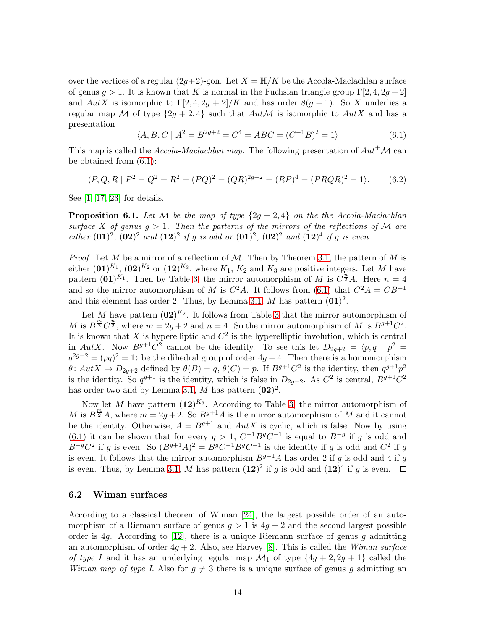over the vertices of a regular  $(2g+2)$ -gon. Let  $X = \mathbb{H}/K$  be the Accola-Maclachlan surface of genus  $g > 1$ . It is known that K is normal in the Fuchsian triangle group  $\Gamma[2, 4, 2g + 2]$ and  $AutX$  is isomorphic to  $\Gamma[2, 4, 2g + 2]/K$  and has order  $8(g + 1)$ . So X underlies a regular map M of type  $\{2g + 2, 4\}$  such that  $Aut \mathcal{M}$  is isomorphic to  $Aut X$  and has a presentation

<span id="page-13-0"></span>
$$
\langle A, B, C \mid A^2 = B^{2g+2} = C^4 = ABC = (C^{-1}B)^2 = 1 \rangle \tag{6.1}
$$

This map is called the *Accola-Maclachlan map*. The following presentation of  $Aut^{\pm} \mathcal{M}$  can be obtained from [\(6.1\)](#page-13-0):

$$
\langle P, Q, R \mid P^2 = Q^2 = R^2 = (PQ)^2 = (QR)^{2g+2} = (RP)^4 = (PRQR)^2 = 1 \rangle. \tag{6.2}
$$

See [\[1,](#page-17-1) [17,](#page-18-7) [23\]](#page-19-2) for details.

<span id="page-13-1"></span>**Proposition 6.1.** Let M be the map of type  $\{2q + 2, 4\}$  on the the Accola-Maclachlan *surface* X of genus  $g > 1$ . Then the patterns of the mirrors of the reflections of M are *either*  $(01)^2$ ,  $(02)^2$  *and*  $(12)^2$  *if* g *is odd or*  $(01)^2$ ,  $(02)^2$  *and*  $(12)^4$  *if* g *is even.* 

*Proof.* Let M be a mirror of a reflection of M. Then by Theorem [3.1,](#page-4-2) the pattern of M is either  $(01)^{K_1}$ ,  $(02)^{K_2}$  or  $(12)^{K_3}$ , where  $K_1$ ,  $K_2$  and  $K_3$  are positive integers. Let M have pattern  $(01)^{K_1}$ . Then by Table [3,](#page-6-1) the mirror automorphism of M is  $C^{\frac{n}{2}}A$ . Here  $n=4$ and so the mirror automorphism of M is  $C^2A$ . It follows from [\(6.1\)](#page-13-0) that  $C^2A = CB^{-1}$ and this element has order 2. Thus, by Lemma [3.1,](#page-7-0) M has pattern  $(01)^2$ .

Let M have pattern  $(02)^{K_2}$ . It follows from Table [3](#page-6-1) that the mirror automorphism of M is  $B^{\frac{m}{2}}C^{\frac{n}{2}}$ , where  $m=2g+2$  and  $n=4$ . So the mirror automorphism of M is  $B^{g+1}C^2$ . It is known that X is hyperelliptic and  $C^2$  is the hyperelliptic involution, which is central in AutX. Now  $B^{g+1}C^2$  cannot be the identity. To see this let  $D_{2g+2} = \langle p, q | p^2 =$  $q^{2g+2} = (pq)^2 = 1$  be the dihedral group of order  $4g+4$ . Then there is a homomorphism  $\theta$ :  $Aut X \to D_{2g+2}$  defined by  $\theta(B) = q$ ,  $\theta(C) = p$ . If  $B^{g+1}C^2$  is the identity, then  $q^{g+1}p^2$ is the identity. So  $q^{g+1}$  is the identity, which is false in  $D_{2g+2}$ . As  $C^2$  is central,  $B^{g+1}C^2$ has order two and by Lemma [3.1,](#page-7-0) M has pattern  $(02)^2$ .

Now let M have pattern  $(12)^{K_3}$ . According to Table [3,](#page-6-1) the mirror automorphism of M is  $B^{\frac{m}{2}}A$ , where  $m = 2g + 2$ . So  $B^{g+1}A$  is the mirror automorphism of M and it cannot be the identity. Otherwise,  $A = B^{g+1}$  and  $Aut X$  is cyclic, which is false. Now by using [\(6.1\)](#page-13-0) it can be shown that for every  $g > 1$ ,  $C^{-1}B^gC^{-1}$  is equal to  $B^{-g}$  if g is odd and  $B^{-g}C^2$  if g is even. So  $(B^{g+1}A)^2 = B^gC^{-1}B^gC^{-1}$  is the identity if g is odd and  $C^2$  if g is even. It follows that the mirror automorphism  $B^{g+1}A$  has order 2 if g is odd and 4 if g is even. Thus, by Lemma [3.1,](#page-7-0) M has pattern  $(12)^2$  if g is odd and  $(12)^4$  if g is even.

## 6.2 Wiman surfaces

According to a classical theorem of Wiman [\[24\]](#page-19-3), the largest possible order of an automorphism of a Riemann surface of genus  $q > 1$  is  $4q + 2$  and the second largest possible order is 4g. According to  $[12]$ , there is a unique Riemann surface of genus g admitting an automorphism of order 4g + 2. Also, see Harvey [\[8\]](#page-18-9). This is called the *Wiman surface of type I* and it has an underlying regular map  $\mathcal{M}_1$  of type  $\{4g + 2, 2g + 1\}$  called the *Wiman map of type I*. Also for  $g \neq 3$  there is a unique surface of genus g admitting an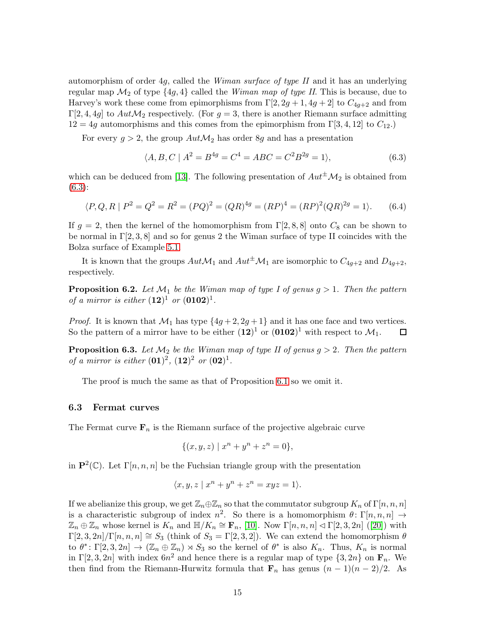automorphism of order 4g, called the *Wiman surface of type II* and it has an underlying regular map  $\mathcal{M}_2$  of type  $\{4g, 4\}$  called the *Wiman map of type II*. This is because, due to Harvey's work these come from epimorphisms from  $\Gamma[2, 2g+1, 4g+2]$  to  $C_{4g+2}$  and from Γ[2, 4, 4g] to  $Aut\mathcal{M}_2$  respectively. (For  $g=3$ , there is another Riemann surface admitting  $12 = 4g$  automorphisms and this comes from the epimorphism from  $\Gamma[3, 4, 12]$  to  $C_{12}$ .

For every  $g > 2$ , the group  $Aut \mathcal{M}_2$  has order 8g and has a presentation

<span id="page-14-0"></span>
$$
\langle A, B, C \mid A^2 = B^{4g} = C^4 = ABC = C^2 B^{2g} = 1 \rangle, \tag{6.3}
$$

which can be deduced from [\[13\]](#page-18-10). The following presentation of  $Aut^{\pm}M_2$  is obtained from [\(6.3\)](#page-14-0):

$$
\langle P, Q, R \mid P^2 = Q^2 = R^2 = (PQ)^2 = (QR)^{4g} = (RP)^4 = (RP)^2(QR)^{2g} = 1 \rangle. \tag{6.4}
$$

If  $g = 2$ , then the kernel of the homomorphism from  $\Gamma[2, 8, 8]$  onto  $C_8$  can be shown to be normal in  $\Gamma[2,3,8]$  and so for genus 2 the Wiman surface of type II coincides with the Bolza surface of Example [5.1.](#page-10-1)

It is known that the groups  $Aut\mathcal{M}_1$  and  $Aut^{\pm}\mathcal{M}_1$  are isomorphic to  $C_{4g+2}$  and  $D_{4g+2}$ , respectively.

**Proposition 6.2.** Let  $\mathcal{M}_1$  be the Wiman map of type I of genus  $g > 1$ . Then the pattern *of a mirror is either*  $(12)^{1}$  *or*  $(0102)^{1}$ *.* 

*Proof.* It is known that  $\mathcal{M}_1$  has type  $\{4g+2, 2g+1\}$  and it has one face and two vertices. So the pattern of a mirror have to be either  $(12)^1$  or  $(0102)^1$  with respect to  $\mathcal{M}_1$ .  $\Box$ 

**Proposition 6.3.** Let  $M_2$  be the Wiman map of type II of genus  $g > 2$ . Then the pattern *of a mirror is either*  $(01)^2$ ,  $(12)^2$  *or*  $(02)^1$ *.* 

The proof is much the same as that of Proposition [6.1](#page-13-1) so we omit it.

## 6.3 Fermat curves

The Fermat curve  $\mathbf{F}_n$  is the Riemann surface of the projective algebraic curve

$$
\{(x, y, z) \mid x^n + y^n + z^n = 0\},\
$$

in  $\mathbf{P}^2(\mathbb{C})$ . Let  $\Gamma[n,n,n]$  be the Fuchsian triangle group with the presentation

$$
\langle x, y, z \mid x^n + y^n + z^n = xyz = 1 \rangle.
$$

If we abelianize this group, we get  $\mathbb{Z}_n \oplus \mathbb{Z}_n$  so that the commutator subgroup  $K_n$  of  $\Gamma[n,n,n]$ is a characteristic subgroup of index  $n^2$ . So there is a homomorphism  $\theta \colon \Gamma[n,n,n] \to$  $\mathbb{Z}_n \oplus \mathbb{Z}_n$  $\mathbb{Z}_n \oplus \mathbb{Z}_n$  $\mathbb{Z}_n \oplus \mathbb{Z}_n$  whose kernel is  $K_n$  and  $\mathbb{H}/K_n \cong \mathbf{F}_n$ , [\[10\]](#page-18-11). Now  $\Gamma[n,n,n] \triangleleft \Gamma[2,3,2n]$  ([\[20\]](#page-19-4)) with  $\Gamma[2,3,2n]/\Gamma[n,n,n] \cong S_3$  (think of  $S_3 = \Gamma[2,3,2]$ ). We can extend the homomorphism  $\theta$ to  $\theta^* \colon \Gamma[2,3,2n] \to (\mathbb{Z}_n \oplus \mathbb{Z}_n) \rtimes S_3$  so the kernel of  $\theta^*$  is also  $K_n$ . Thus,  $K_n$  is normal in  $\Gamma[2,3,2n]$  with index  $6n^2$  and hence there is a regular map of type  $\{3,2n\}$  on  $\mathbf{F}_n$ . We then find from the Riemann-Hurwitz formula that  $\mathbf{F}_n$  has genus  $(n-1)(n-2)/2$ . As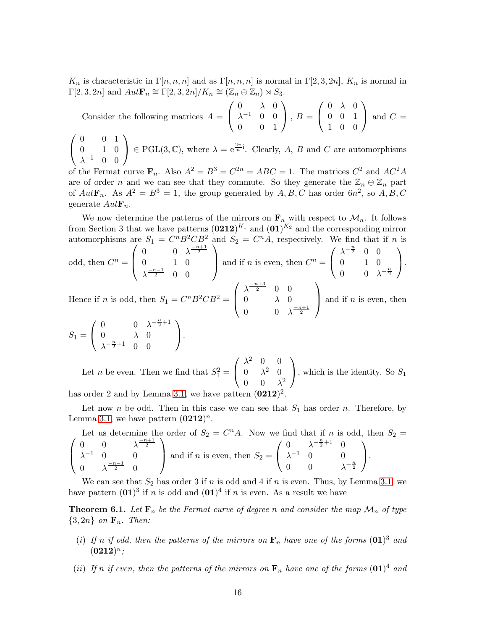$K_n$  is characteristic in  $\Gamma[n, n, n]$  and as  $\Gamma[n, n, n]$  is normal in  $\Gamma[2, 3, 2n]$ ,  $K_n$  is normal in  $\Gamma[2,3,2n]$  and  $Aut\mathbf{F}_n \cong \Gamma[2,3,2n]/K_n \cong (\mathbb{Z}_n \oplus \mathbb{Z}_n) \rtimes S_3$ .

Consider the following matrices 
$$
A = \begin{pmatrix} 0 & \lambda & 0 \\ \lambda^{-1} & 0 & 0 \\ 0 & 0 & 1 \end{pmatrix}
$$
,  $B = \begin{pmatrix} 0 & \lambda & 0 \\ 0 & 0 & 1 \\ 1 & 0 & 0 \end{pmatrix}$  and  $C = \begin{pmatrix} 0 & 0 & 1 \\ 0 & 1 & 0 \\ 0 & 1 & 0 \end{pmatrix} \in \text{PGL}(3, \mathbb{C})$ , where  $\lambda = e^{\frac{2\pi}{n}i}$ . Clearly,  $A$ ,  $B$  and  $C$  are automorphisms

 $\mathbf{I}$  $\lambda^{-1}$  0 0 of the Fermat curve  $\mathbf{F}_n$ . Also  $A^2 = B^3 = C^{2n} = ABC = 1$ . The matrices  $C^2$  and  $AC^2A$ 

are of order n and we can see that they commute. So they generate the  $\mathbb{Z}_n \oplus \mathbb{Z}_n$  part of  $Aut \mathbf{F}_n$ . As  $A^2 = B^3 = 1$ , the group generated by  $A, B, C$  has order  $6n^2$ , so  $A, B, C$ generate  $Aut {\bf F}_n$ .

We now determine the patterns of the mirrors on  $\mathbf{F}_n$  with respect to  $\mathcal{M}_n$ . It follows from Section 3 that we have patterns  $(0212)^{K_1}$  and  $(01)^{K_2}$  and the corresponding mirror automorphisms are  $S_1 = C$  ${}^{n}B^{2}CB^{2}$  and  $S_{2} = C^{n}A$ , respectively. We find that if n is odd, then  $C^n =$  $\sqrt{ }$  $\left\lfloor \right\rfloor$ 0  $0 \lambda^{-n+1}$ 0 1 0  $\lambda^{-n-1 \over 2}$  0 0  $\setminus$ and if *n* is even, then  $C^n =$  $\sqrt{ }$  $\mathbf{I}$  $\lambda^{-\frac{n}{2}}$  0 0 0 1 0 0 0  $\lambda^{-\frac{n}{2}}$  $\setminus$  $\cdot$  $\sqrt{ }$  $\lambda^{\frac{-n+3}{2}}$  0 0  $\setminus$ 

Hence if *n* is odd, then  $S_1 = C^n B^2 C B^2 =$  $\left\vert \right\vert$  $0 \lambda_0$ 0  $\lambda^{-n+1}$ and if  $n$  is even, then

$$
S_1 = \left(\begin{array}{ccc} 0 & 0 & \lambda^{-\frac{n}{2}+1} \\ 0 & \lambda & 0 \\ \lambda^{-\frac{n}{2}+1} & 0 & 0 \end{array}\right).
$$

Let *n* be even. Then we find that  $S_1^2 =$  $\sqrt{ }$  $\mathbf{I}$  $\lambda^2$  0 0  $0 \lambda^2$  0  $0 \quad 0 \quad \lambda^2$  $\setminus$ , which is the identity. So  $S_1$ 

has order 2 and by Lemma [3.1,](#page-7-0) we have pattern  $(0212)^2$ .

Let now n be odd. Then in this case we can see that  $S_1$  has order n. Therefore, by Lemma [3.1,](#page-7-0) we have pattern  $(0212)^n$ .

Let us determine the order of 
$$
S_2 = C^n A
$$
. Now we find that if *n* is odd, then  $S_2 = \begin{pmatrix} 0 & 0 & \lambda^{-\frac{n+1}{2}} \\ \lambda^{-1} & 0 & 0 \\ 0 & \lambda^{-\frac{n-1}{2}} & 0 \end{pmatrix}$  and if *n* is even, then  $S_2 = \begin{pmatrix} 0 & \lambda^{-\frac{n}{2}+1} & 0 \\ \lambda^{-1} & 0 & 0 \\ 0 & 0 & \lambda^{-\frac{n}{2}} \end{pmatrix}$ .

We can see that  $S_2$  has order 3 if n is odd and 4 if n is even. Thus, by Lemma [3.1,](#page-7-0) we have pattern  $(01)^3$  if n is odd and  $(01)^4$  if n is even. As a result we have

**Theorem 6.1.** Let  $\mathbf{F}_n$  be the Fermat curve of degree n and consider the map  $\mathcal{M}_n$  of type  $\{3, 2n\}$  *on*  $\mathbf{F}_n$ *. Then:* 

- (*i*) If n if odd, then the patterns of the mirrors on  $\mathbf{F}_n$  have one of the forms  $(01)^3$  and  $(0212)^n;$
- (*ii*) If n if even, then the patterns of the mirrors on  $\mathbf{F}_n$  have one of the forms  $(\mathbf{01})^4$  and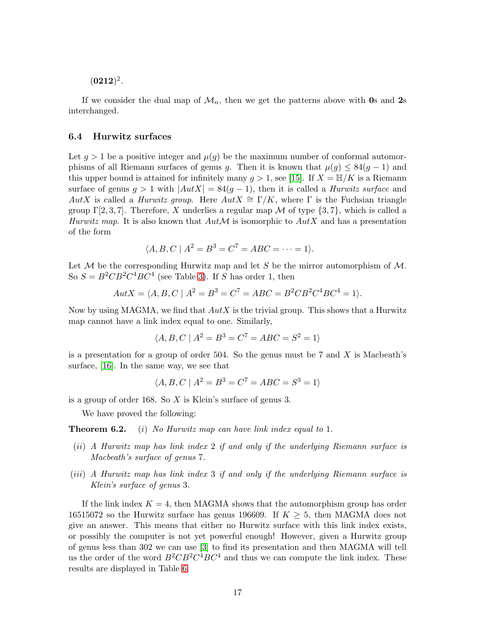$(0212)^2$ .

If we consider the dual map of  $\mathcal{M}_n$ , then we get the patterns above with 0s and 2s interchanged.

## 6.4 Hurwitz surfaces

Let  $g > 1$  be a positive integer and  $\mu(g)$  be the maximum number of conformal automorphisms of all Riemann surfaces of genus q. Then it is known that  $\mu(q) \leq 84(q-1)$  and this upper bound is attained for infinitely many  $g > 1$ , see [\[15\]](#page-18-12). If  $X = \mathbb{H}/K$  is a Riemann surface of genus  $g > 1$  with  $|Aut X| = 84(g - 1)$ , then it is called a *Hurwitz surface* and AutX is called a *Hurwitz group*. Here  $Aut X \cong \Gamma/K$ , where  $\Gamma$  is the Fuchsian triangle group  $\Gamma[2,3,7]$ . Therefore, X underlies a regular map M of type  $\{3,7\}$ , which is called a *Hurwitz map.* It is also known that  $Aut \mathcal{M}$  is isomorphic to  $Aut X$  and has a presentation of the form

$$
\langle A, B, C \mid A^2 = B^3 = C^7 = ABC = \dots = 1 \rangle.
$$

Let  $M$  be the corresponding Hurwitz map and let S be the mirror automorphism of  $M$ . So  $S = B^2 C B^2 C^4 B C^4$  (see Table [3\)](#page-6-1). If S has order 1, then

$$
Aut X = \langle A, B, C \mid A^2 = B^3 = C^7 = ABC = B^2 C B^2 C^4 B C^4 = 1 \rangle.
$$

Now by using MAGMA, we find that  $Aut X$  is the trivial group. This shows that a Hurwitz map cannot have a link index equal to one. Similarly,

$$
\langle A, B, C \mid A^2 = B^3 = C^7 = ABC = S^2 = 1 \rangle
$$

is a presentation for a group of order 504. So the genus must be  $7$  and  $X$  is Macbeath's surface, [\[16\]](#page-18-13). In the same way, we see that

$$
\langle A, B, C \mid A^2 = B^3 = C^7 = ABC = S^3 = 1 \rangle
$$

is a group of order 168. So X is Klein's surface of genus 3.

We have proved the following:

Theorem 6.2. (i) *No Hurwitz map can have link index equal to* 1*.*

- (ii) *A Hurwitz map has link index* 2 *if and only if the underlying Riemann surface is Macbeath's surface of genus* 7*.*
- (iii) *A Hurwitz map has link index* 3 *if and only if the underlying Riemann surface is Klein's surface of genus* 3*.*

If the link index  $K = 4$ , then MAGMA shows that the automorphism group has order 16515072 so the Hurwitz surface has genus 196609. If  $K \geq 5$ , then MAGMA does not give an answer. This means that either no Hurwitz surface with this link index exists, or possibly the computer is not yet powerful enough! However, given a Hurwitz group of genus less than 302 we can use [\[3\]](#page-18-14) to find its presentation and then MAGMA will tell us the order of the word  $B^2CB^2C^4BC^4$  and thus we can compute the link index. These results are displayed in Table [6.](#page-17-2)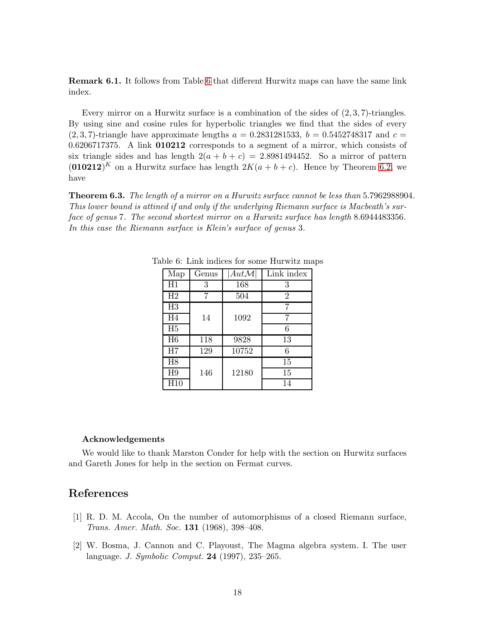Remark 6.1. It follows from Table [6](#page-17-2) that different Hurwitz maps can have the same link index.

Every mirror on a Hurwitz surface is a combination of the sides of  $(2,3,7)$ -triangles. By using sine and cosine rules for hyperbolic triangles we find that the sides of every  $(2, 3, 7)$ -triangle have approximate lengths  $a = 0.2831281533$ ,  $b = 0.5452748317$  and  $c =$ 0.6206717375. A link 010212 corresponds to a segment of a mirror, which consists of six triangle sides and has length  $2(a + b + c) = 2.8981494452$ . So a mirror of pattern  $(010212)^K$  on a Hurwitz surface has length  $2K(a + b + c)$ . Hence by Theorem 6.2, we have

Theorem 6.3. *The length of a mirror on a Hurwitz surface cannot be less than* 5.7962988904*. This lower bound is attined if and only if the underlying Riemann surface is Macbeath's surface of genus* 7*. The second shortest mirror on a Hurwitz surface has length* 8.6944483356*. In this case the Riemann surface is Klein's surface of genus* 3*.*

<span id="page-17-2"></span>

| Map            | Genus | $Aut \mathcal{M} $ | Link index     |
|----------------|-------|--------------------|----------------|
| H1             | 3     | 168                | 3              |
| H2             |       | 504                | $\overline{2}$ |
| H3             |       |                    | 7              |
| H <sub>4</sub> | 14    | 1092               |                |
| H5             |       |                    | 6              |
| H <sub>6</sub> | 118   | 9828               | 13             |
| H7             | 129   | 10752              | 6              |
| H <sub>8</sub> |       |                    | 15             |
| H <sub>9</sub> | 146   | 12180              | 15             |
| H10            |       |                    | 14             |

Table 6: Link indices for some Hurwitz maps

### Acknowledgements

We would like to thank Marston Conder for help with the section on Hurwitz surfaces and Gareth Jones for help in the section on Fermat curves.

# <span id="page-17-1"></span>References

- [1] R. D. M. Accola, On the number of automorphisms of a closed Riemann surface, *Trans. Amer. Math. Soc.* 131 (1968), 398–408.
- <span id="page-17-0"></span>[2] W. Bosma, J. Cannon and C. Playoust, The Magma algebra system. I. The user language. *J. Symbolic Comput.* 24 (1997), 235–265.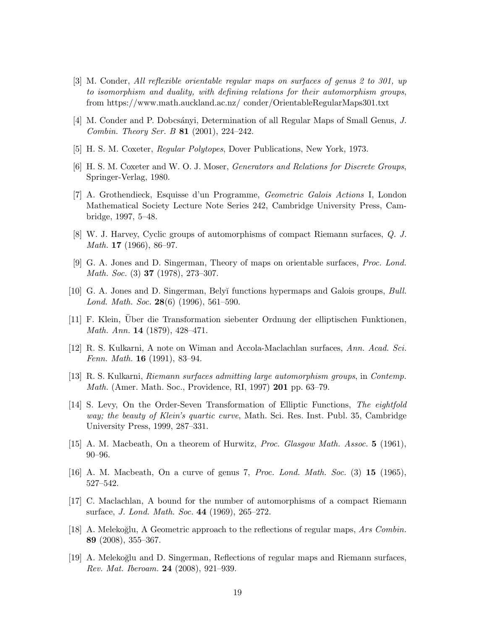- <span id="page-18-14"></span>[3] M. Conder, *All reflexible orientable regular maps on surfaces of genus 2 to 301, up to isomorphism and duality, with defining relations for their automorphism groups*, from https://www.math.auckland.ac.nz/ conder/OrientableRegularMaps301.txt
- <span id="page-18-6"></span><span id="page-18-2"></span>[4] M. Conder and P. Dobcs´anyi, Determination of all Regular Maps of Small Genus, *J. Combin. Theory Ser. B* 81 (2001), 224–242.
- <span id="page-18-5"></span>[5] H. S. M. Coxeter, *Regular Polytopes*, Dover Publications, New York, 1973.
- <span id="page-18-4"></span>[6] H. S. M. Coxeter and W. O. J. Moser, *Generators and Relations for Discrete Groups*, Springer-Verlag, 1980.
- [7] A. Grothendieck, Esquisse d'un Programme, *Geometric Galois Actions* I, London Mathematical Society Lecture Note Series 242, Cambridge University Press, Cambridge, 1997, 5–48.
- <span id="page-18-9"></span><span id="page-18-1"></span>[8] W. J. Harvey, Cyclic groups of automorphisms of compact Riemann surfaces, *Q. J. Math.* 17 (1966), 86–97.
- <span id="page-18-11"></span>[9] G. A. Jones and D. Singerman, Theory of maps on orientable surfaces, *Proc. Lond. Math. Soc.* (3) 37 (1978), 273–307.
- [10] G. A. Jones and D. Singerman, Bely˘ı functions hypermaps and Galois groups, *Bull. Lond. Math. Soc.* 28(6) (1996), 561–590.
- <span id="page-18-8"></span><span id="page-18-0"></span>[11] F. Klein, Über die Transformation siebenter Ordnung der elliptischen Funktionen, *Math. Ann.* 14 (1879), 428–471.
- <span id="page-18-10"></span>[12] R. S. Kulkarni, A note on Wiman and Accola-Maclachlan surfaces, *Ann. Acad. Sci. Fenn. Math.* 16 (1991), 83–94.
- <span id="page-18-3"></span>[13] R. S. Kulkarni, *Riemann surfaces admitting large automorphism groups*, in *Contemp. Math.* (Amer. Math. Soc., Providence, RI, 1997) 201 pp. 63–79.
- [14] S. Levy, On the Order-Seven Transformation of Elliptic Functions, *The eightfold way; the beauty of Klein's quartic curve*, Math. Sci. Res. Inst. Publ. 35, Cambridge University Press, 1999, 287–331.
- <span id="page-18-13"></span><span id="page-18-12"></span>[15] A. M. Macbeath, On a theorem of Hurwitz, *Proc. Glasgow Math. Assoc.* 5 (1961), 90–96.
- <span id="page-18-7"></span>[16] A. M. Macbeath, On a curve of genus 7, *Proc. Lond. Math. Soc.* (3) 15 (1965), 527–542.
- [17] C. Maclachlan, A bound for the number of automorphisms of a compact Riemann surface, *J. Lond. Math. Soc.* 44 (1969), 265–272.
- [18] A. Melekoğlu, A Geometric approach to the reflections of regular maps, *Ars Combin.* 89 (2008), 355–367.
- [19] A. Meleko˘glu and D. Singerman, Reflections of regular maps and Riemann surfaces, *Rev. Mat. Iberoam.* 24 (2008), 921–939.